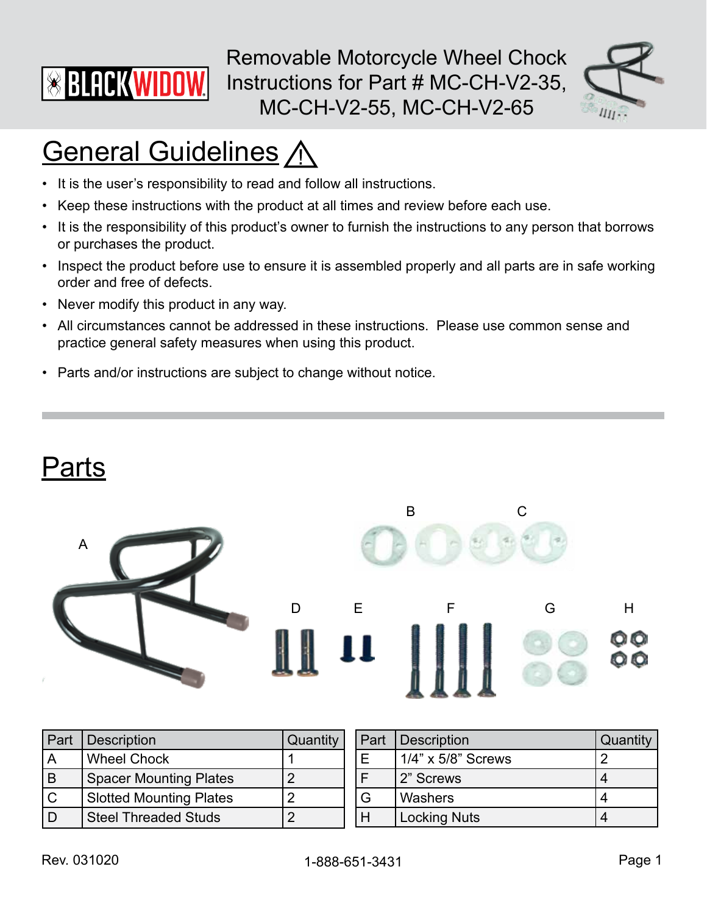

Removable Motorcycle Wheel Chock Instructions for Part # MC-CH-V2-35, MC-CH-V2-55, MC-CH-V2-65



# **General Guidelines A**

- It is the user's responsibility to read and follow all instructions.
- Keep these instructions with the product at all times and review before each use.
- It is the responsibility of this product's owner to furnish the instructions to any person that borrows or purchases the product.
- Inspect the product before use to ensure it is assembled properly and all parts are in safe working order and free of defects.
- Never modify this product in any way.
- All circumstances cannot be addressed in these instructions. Please use common sense and practice general safety measures when using this product.
- Parts and/or instructions are subject to change without notice.



| Part | <b>Description</b>             | Quantity | Part | Description         | Quantity |
|------|--------------------------------|----------|------|---------------------|----------|
| l A  | <b>Wheel Chock</b>             |          |      | 1/4" x 5/8" Screws  |          |
| Iв   | <b>Spacer Mounting Plates</b>  |          |      | 2" Screws           |          |
| l C  | <b>Slotted Mounting Plates</b> |          |      | Washers             |          |
| l D  | <b>Steel Threaded Studs</b>    |          |      | <b>Locking Nuts</b> |          |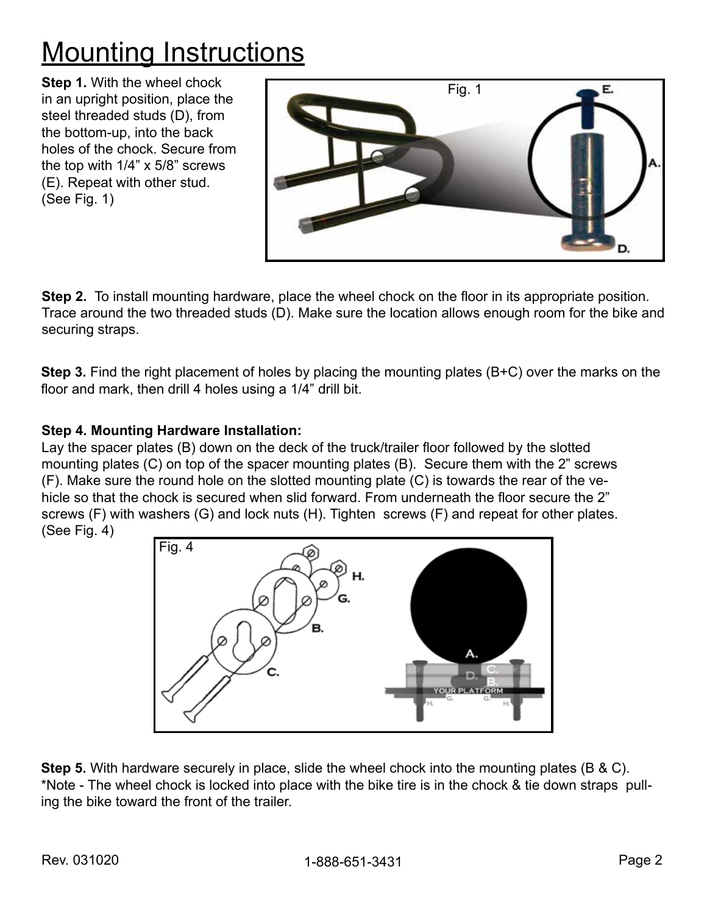### **Mounting Instructions**

**Step 1.** With the wheel chock in an upright position, place the steel threaded studs (D), from the bottom-up, into the back holes of the chock. Secure from the top with 1/4" x 5/8" screws (E). Repeat with other stud. (See Fig. 1)



**Step 2.** To install mounting hardware, place the wheel chock on the floor in its appropriate position. Trace around the two threaded studs (D). Make sure the location allows enough room for the bike and securing straps.

**Step 3.** Find the right placement of holes by placing the mounting plates (B+C) over the marks on the floor and mark, then drill 4 holes using a 1/4" drill bit.

#### **Step 4. Mounting Hardware Installation:**

Lay the spacer plates (B) down on the deck of the truck/trailer floor followed by the slotted mounting plates (C) on top of the spacer mounting plates (B). Secure them with the 2" screws (F). Make sure the round hole on the slotted mounting plate (C) is towards the rear of the vehicle so that the chock is secured when slid forward. From underneath the floor secure the 2" screws (F) with washers (G) and lock nuts (H). Tighten screws (F) and repeat for other plates. (See Fig. 4)



**Step 5.** With hardware securely in place, slide the wheel chock into the mounting plates (B & C). \*Note - The wheel chock is locked into place with the bike tire is in the chock & tie down straps pulling the bike toward the front of the trailer.